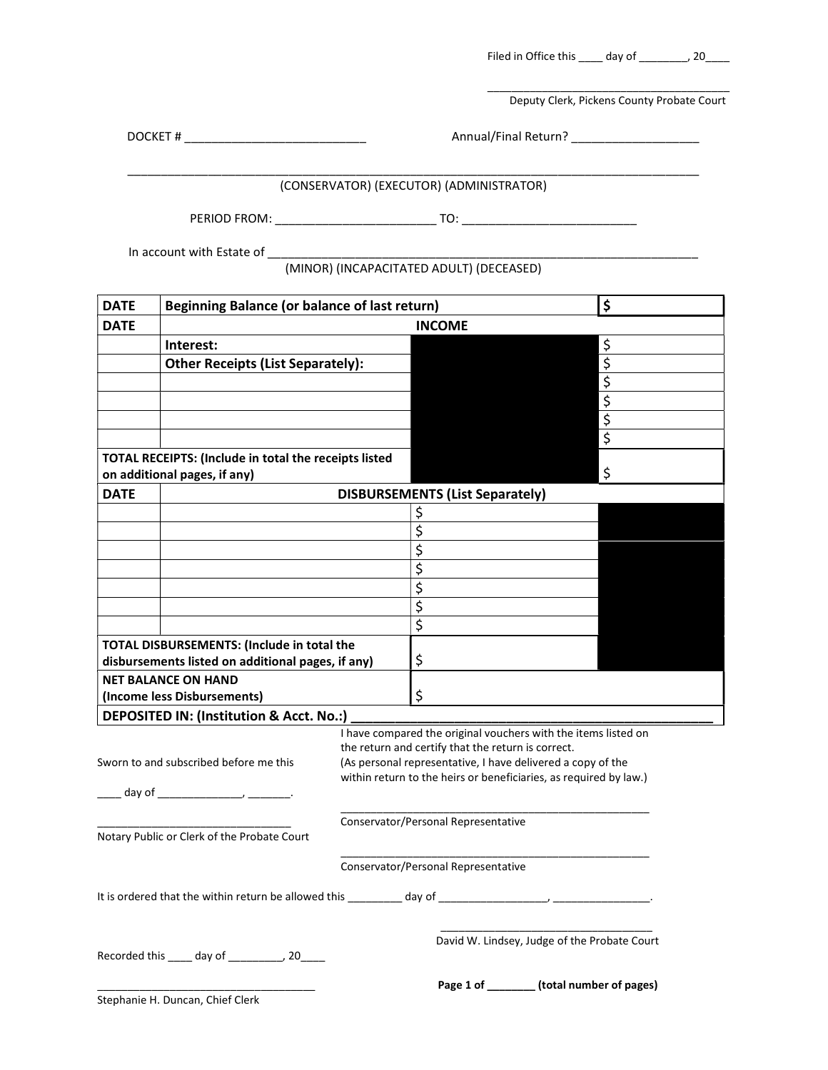Filed in Office this \_\_\_\_ day of \_\_\_\_\_\_\_, 20\_\_\_\_

\_\_\_\_\_\_\_\_\_\_\_\_\_\_\_\_\_\_\_\_\_\_\_\_\_\_\_\_\_\_\_\_\_\_\_\_\_\_\_\_ Deputy Clerk, Pickens County Probate Court

DOCKET # \_\_\_\_\_\_\_\_\_\_\_\_\_\_\_\_\_\_\_\_\_\_\_\_\_\_\_ Annual/Final Return? \_\_\_\_\_\_\_\_\_\_\_\_\_\_\_\_\_\_\_

### \_\_\_\_\_\_\_\_\_\_\_\_\_\_\_\_\_\_\_\_\_\_\_\_\_\_\_\_\_\_\_\_\_\_\_\_\_\_\_\_\_\_\_\_\_\_\_\_\_\_\_\_\_\_\_\_\_\_\_\_\_\_\_\_\_\_\_\_\_\_\_\_\_\_\_\_\_\_\_\_\_\_\_\_\_ (CONSERVATOR) (EXECUTOR) (ADMINISTRATOR)

PERIOD FROM: \_\_\_\_\_\_\_\_\_\_\_\_\_\_\_\_\_\_\_\_\_\_\_\_ TO: \_\_\_\_\_\_\_\_\_\_\_\_\_\_\_\_\_\_\_\_\_\_\_\_\_\_

In account with Estate of \_\_\_\_\_\_\_\_\_\_\_\_\_\_\_\_\_\_\_\_\_\_\_\_\_\_\_\_\_\_\_\_\_\_\_\_\_\_\_\_\_\_\_\_\_\_\_\_\_\_\_\_\_\_\_\_\_\_\_\_\_\_\_\_

| (MINOR) (INCAPACITATED ADULT) (DECEASED) |  |
|------------------------------------------|--|
|------------------------------------------|--|

| <b>DATE</b> | \$<br><b>Beginning Balance (or balance of last return)</b>                                                                                                                                                                    |                                                                   |                                        |                                              |
|-------------|-------------------------------------------------------------------------------------------------------------------------------------------------------------------------------------------------------------------------------|-------------------------------------------------------------------|----------------------------------------|----------------------------------------------|
| <b>DATE</b> | <b>INCOME</b>                                                                                                                                                                                                                 |                                                                   |                                        |                                              |
|             | Interest:                                                                                                                                                                                                                     |                                                                   |                                        | \$                                           |
|             | <b>Other Receipts (List Separately):</b>                                                                                                                                                                                      |                                                                   |                                        | $\overline{\mathcal{L}}$                     |
|             |                                                                                                                                                                                                                               |                                                                   |                                        | $\overline{\xi}$                             |
|             |                                                                                                                                                                                                                               |                                                                   |                                        | $\overline{\xi}$                             |
|             |                                                                                                                                                                                                                               |                                                                   |                                        | $\overline{\xi}$                             |
|             |                                                                                                                                                                                                                               |                                                                   |                                        | $\overline{\xi}$                             |
|             | TOTAL RECEIPTS: (Include in total the receipts listed<br>on additional pages, if any)                                                                                                                                         |                                                                   |                                        | \$                                           |
| <b>DATE</b> |                                                                                                                                                                                                                               |                                                                   | <b>DISBURSEMENTS (List Separately)</b> |                                              |
|             |                                                                                                                                                                                                                               |                                                                   | \$                                     |                                              |
|             |                                                                                                                                                                                                                               |                                                                   | \$                                     |                                              |
|             |                                                                                                                                                                                                                               |                                                                   | \$                                     |                                              |
|             |                                                                                                                                                                                                                               |                                                                   | \$                                     |                                              |
|             |                                                                                                                                                                                                                               |                                                                   | \$                                     |                                              |
|             |                                                                                                                                                                                                                               |                                                                   | \$                                     |                                              |
|             |                                                                                                                                                                                                                               |                                                                   | \$                                     |                                              |
|             | TOTAL DISBURSEMENTS: (Include in total the                                                                                                                                                                                    |                                                                   |                                        |                                              |
|             | disbursements listed on additional pages, if any)                                                                                                                                                                             |                                                                   | \$                                     |                                              |
|             | <b>NET BALANCE ON HAND</b>                                                                                                                                                                                                    |                                                                   |                                        |                                              |
|             | (Income less Disbursements)                                                                                                                                                                                                   |                                                                   | \$                                     |                                              |
|             | DEPOSITED IN: (Institution & Acct. No.:)                                                                                                                                                                                      |                                                                   |                                        |                                              |
|             | I have compared the original vouchers with the items listed on<br>the return and certify that the return is correct.<br>Sworn to and subscribed before me this<br>(As personal representative, I have delivered a copy of the |                                                                   |                                        |                                              |
|             |                                                                                                                                                                                                                               | within return to the heirs or beneficiaries, as required by law.) |                                        |                                              |
|             |                                                                                                                                                                                                                               |                                                                   |                                        |                                              |
|             |                                                                                                                                                                                                                               |                                                                   | Conservator/Personal Representative    |                                              |
|             | Notary Public or Clerk of the Probate Court                                                                                                                                                                                   |                                                                   |                                        |                                              |
|             |                                                                                                                                                                                                                               |                                                                   | Conservator/Personal Representative    |                                              |
|             | It is ordered that the within return be allowed this                                                                                                                                                                          |                                                                   | day of                                 |                                              |
|             | Recorded this ____ day of __________, 20____                                                                                                                                                                                  |                                                                   |                                        | David W. Lindsey, Judge of the Probate Court |
|             | Stephanie H. Duncan, Chief Clerk                                                                                                                                                                                              |                                                                   |                                        | Page 1 of _______ (total number of pages)    |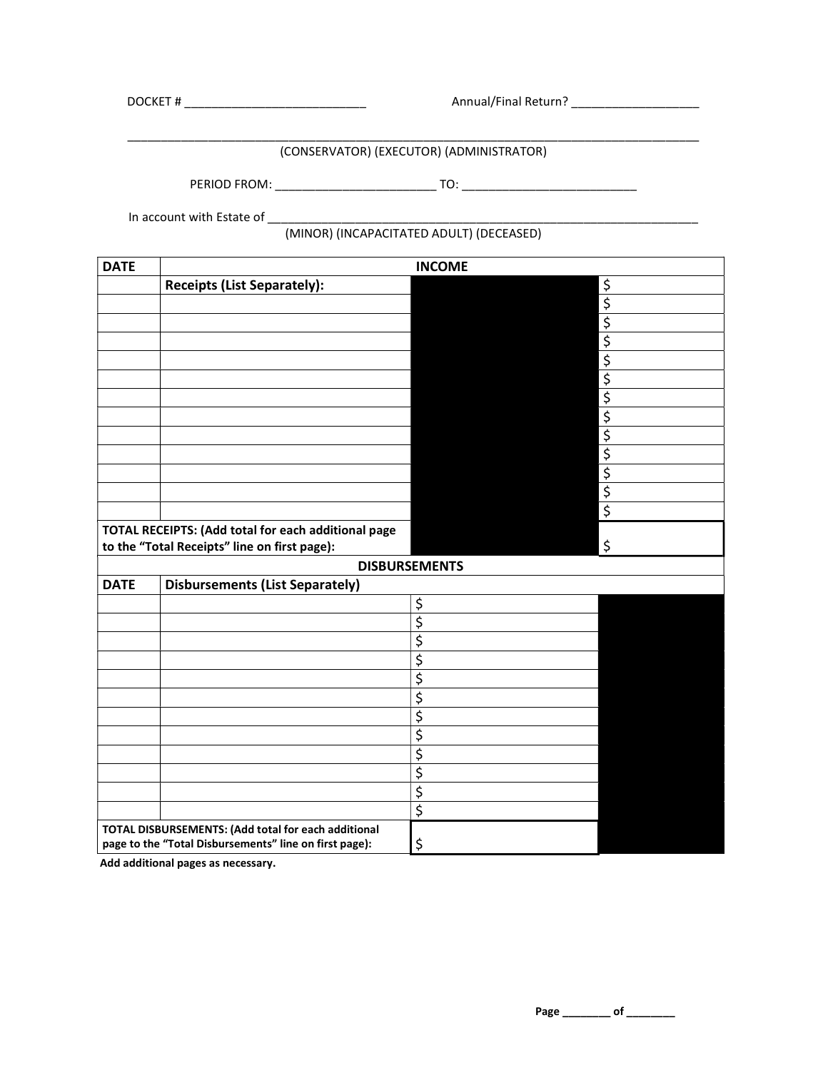DOCKET # \_\_\_\_\_\_\_\_\_\_\_\_\_\_\_\_\_\_\_\_\_\_\_\_\_\_\_ Annual/Final Return? \_\_\_\_\_\_\_\_\_\_\_\_\_\_\_\_\_\_\_

#### \_\_\_\_\_\_\_\_\_\_\_\_\_\_\_\_\_\_\_\_\_\_\_\_\_\_\_\_\_\_\_\_\_\_\_\_\_\_\_\_\_\_\_\_\_\_\_\_\_\_\_\_\_\_\_\_\_\_\_\_\_\_\_\_\_\_\_\_\_\_\_\_\_\_\_\_\_\_\_\_\_\_\_\_\_ (CONSERVATOR) (EXECUTOR) (ADMINISTRATOR)

PERIOD FROM: \_\_\_\_\_\_\_\_\_\_\_\_\_\_\_\_\_\_\_\_\_\_\_\_ TO: \_\_\_\_\_\_\_\_\_\_\_\_\_\_\_\_\_\_\_\_\_\_\_\_\_\_

In account with Estate of \_\_\_\_\_\_\_\_\_\_\_\_\_\_\_\_\_\_\_\_\_\_\_\_\_\_\_\_\_\_\_\_\_\_\_\_\_\_\_\_\_\_\_\_\_\_\_\_\_\_\_\_\_\_\_\_\_\_\_\_\_\_\_\_

### (MINOR) (INCAPACITATED ADULT) (DECEASED)

| <b>DATE</b>                                            | <b>INCOME</b>                                       |                                 |                  |
|--------------------------------------------------------|-----------------------------------------------------|---------------------------------|------------------|
|                                                        | <b>Receipts (List Separately):</b>                  |                                 | \$               |
|                                                        |                                                     |                                 | $\overline{\xi}$ |
|                                                        |                                                     |                                 |                  |
|                                                        |                                                     |                                 |                  |
|                                                        |                                                     |                                 | $rac{5}{5}$      |
|                                                        |                                                     |                                 | $\overline{\xi}$ |
|                                                        |                                                     |                                 |                  |
|                                                        |                                                     |                                 | $\frac{5}{5}$    |
|                                                        |                                                     |                                 |                  |
|                                                        |                                                     |                                 |                  |
|                                                        |                                                     |                                 | $rac{5}{5}$      |
|                                                        |                                                     |                                 |                  |
|                                                        |                                                     |                                 | $\overline{\xi}$ |
|                                                        | TOTAL RECEIPTS: (Add total for each additional page |                                 |                  |
|                                                        | to the "Total Receipts" line on first page):        |                                 | \$               |
|                                                        |                                                     | <b>DISBURSEMENTS</b>            |                  |
| <b>DATE</b>                                            | <b>Disbursements (List Separately)</b>              |                                 |                  |
|                                                        |                                                     | \$                              |                  |
|                                                        |                                                     | \$                              |                  |
|                                                        |                                                     | $\overline{\mathbf{S}}$         |                  |
|                                                        |                                                     | $\overline{\xi}$                |                  |
|                                                        |                                                     | $\overline{\xi}$                |                  |
|                                                        |                                                     | \$                              |                  |
|                                                        |                                                     | \$                              |                  |
|                                                        |                                                     | \$                              |                  |
|                                                        |                                                     | $\overline{\mathbf{S}}$         |                  |
|                                                        |                                                     | $\overline{\boldsymbol{\zeta}}$ |                  |
|                                                        |                                                     | $\overline{\xi}$                |                  |
|                                                        |                                                     | \$                              |                  |
| TOTAL DISBURSEMENTS: (Add total for each additional    |                                                     |                                 |                  |
| page to the "Total Disbursements" line on first page): |                                                     | \$                              |                  |

 **Add additional pages as necessary.** 

 **Page \_\_\_\_\_\_\_\_ of \_\_\_\_\_\_\_\_**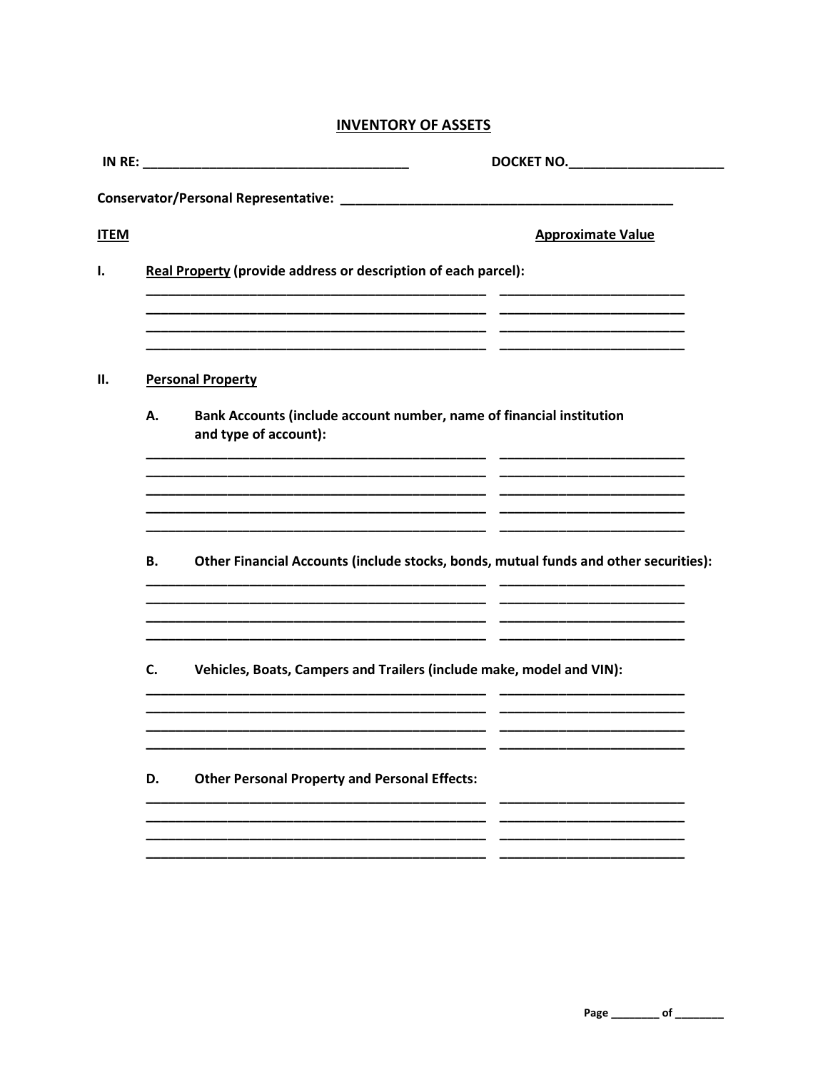# **INVENTORY OF ASSETS**

|             |    | DOCKET NO. ______________________                                                             |
|-------------|----|-----------------------------------------------------------------------------------------------|
|             |    |                                                                                               |
| <b>ITEM</b> |    | <b>Approximate Value</b>                                                                      |
| ı.          |    | Real Property (provide address or description of each parcel):                                |
| П.          |    | <b>Personal Property</b>                                                                      |
|             | А. | Bank Accounts (include account number, name of financial institution<br>and type of account): |
|             | В. | Other Financial Accounts (include stocks, bonds, mutual funds and other securities):          |
|             | C. | Vehicles, Boats, Campers and Trailers (include make, model and VIN):                          |
|             | D. | <b>Other Personal Property and Personal Effects:</b>                                          |
|             |    |                                                                                               |